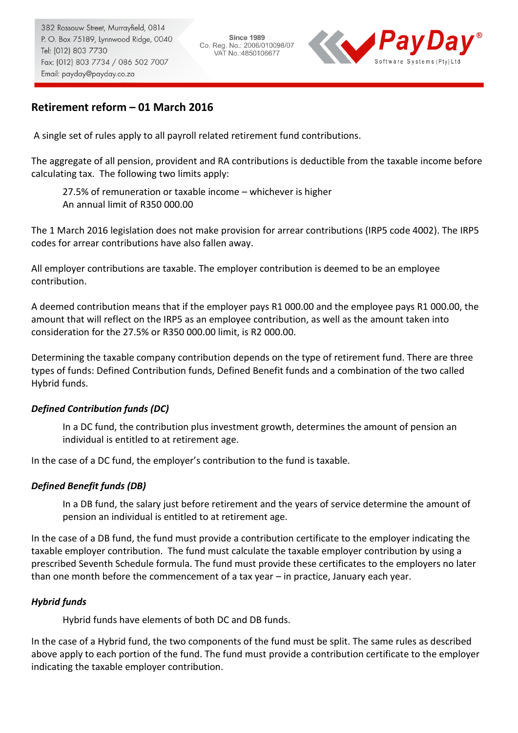**Since 1989** Co. Reg. No.: 2006/010098/07 VAT No.: 4850106677



# **Retirement reform – 01 March 2016**

A single set of rules apply to all payroll related retirement fund contributions.

The aggregate of all pension, provident and RA contributions is deductible from the taxable income before calculating tax. The following two limits apply:

27.5% of remuneration or taxable income – whichever is higher An annual limit of R350 000.00

The 1 March 2016 legislation does not make provision for arrear contributions (IRP5 code 4002). The IRP5 codes for arrear contributions have also fallen away.

All employer contributions are taxable. The employer contribution is deemed to be an employee contribution.

A deemed contribution means that if the employer pays R1 000.00 and the employee pays R1 000.00, the amount that will reflect on the IRP5 as an employee contribution, as well as the amount taken into consideration for the 27.5% or R350 000.00 limit, is R2 000.00.

Determining the taxable company contribution depends on the type of retirement fund. There are three types of funds: Defined Contribution funds, Defined Benefit funds and a combination of the two called Hybrid funds.

### *Defined Contribution funds (DC)*

In a DC fund, the contribution plus investment growth, determines the amount of pension an individual is entitled to at retirement age.

In the case of a DC fund, the employer's contribution to the fund is taxable.

### *Defined Benefit funds (DB)*

In a DB fund, the salary just before retirement and the years of service determine the amount of pension an individual is entitled to at retirement age.

In the case of a DB fund, the fund must provide a contribution certificate to the employer indicating the taxable employer contribution. The fund must calculate the taxable employer contribution by using a prescribed Seventh Schedule formula. The fund must provide these certificates to the employers no later than one month before the commencement of a tax year – in practice, January each year.

### *Hybrid funds*

Hybrid funds have elements of both DC and DB funds.

In the case of a Hybrid fund, the two components of the fund must be split. The same rules as described above apply to each portion of the fund. The fund must provide a contribution certificate to the employer indicating the taxable employer contribution.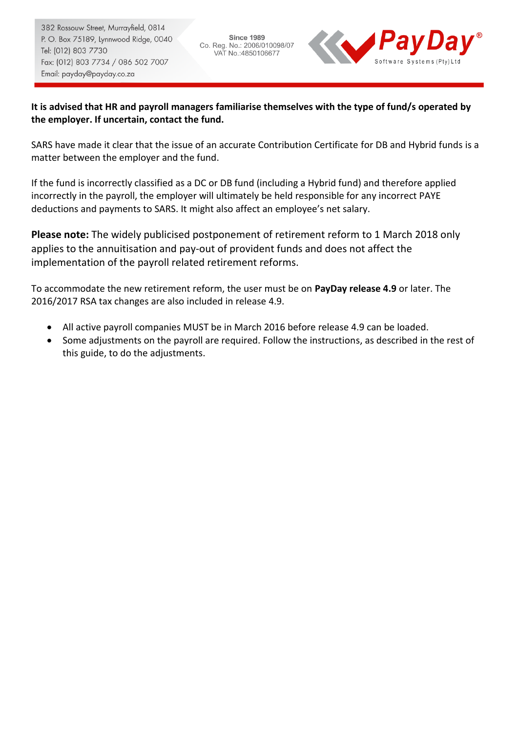**Since 1989** Co. Reg. No.: 2006/010098/07 VAT No.: 4850106677



## **It is advised that HR and payroll managers familiarise themselves with the type of fund/s operated by the employer. If uncertain, contact the fund.**

SARS have made it clear that the issue of an accurate Contribution Certificate for DB and Hybrid funds is a matter between the employer and the fund.

If the fund is incorrectly classified as a DC or DB fund (including a Hybrid fund) and therefore applied incorrectly in the payroll, the employer will ultimately be held responsible for any incorrect PAYE deductions and payments to SARS. It might also affect an employee's net salary.

**Please note:** The widely publicised postponement of retirement reform to 1 March 2018 only applies to the annuitisation and pay-out of provident funds and does not affect the implementation of the payroll related retirement reforms.

To accommodate the new retirement reform, the user must be on **PayDay release 4.9** or later. The 2016/2017 RSA tax changes are also included in release 4.9.

- All active payroll companies MUST be in March 2016 before release 4.9 can be loaded.
- Some adjustments on the payroll are required. Follow the instructions, as described in the rest of this guide, to do the adjustments.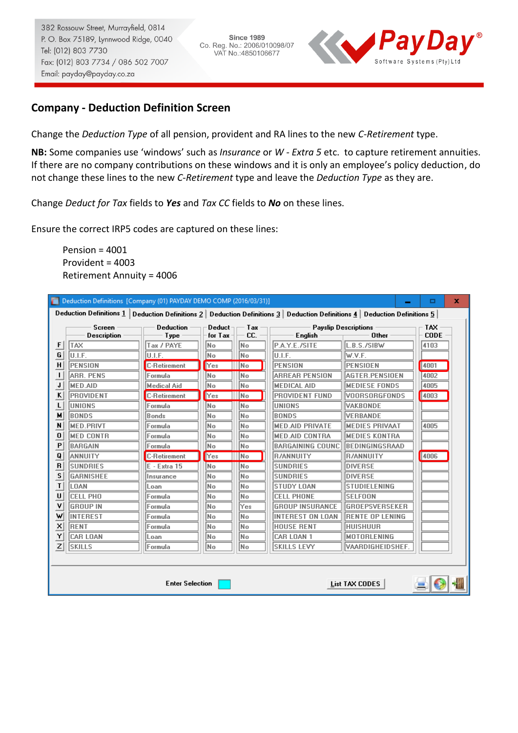**Since 1989** Co. Reg. No.: 2006/010098/07 VAT No.: 4850106677



## **Company - Deduction Definition Screen**

Change the *Deduction Type* of all pension, provident and RA lines to the new *C-Retirement* type.

**NB:** Some companies use 'windows' such as *Insurance* or *W - Extra 5* etc. to capture retirement annuities. If there are no company contributions on these windows and it is only an employee's policy deduction, do not change these lines to the new *C-Retirement* type and leave the *Deduction Type* as they are.

Change *Deduct for Tax* fields to *Yes* and *Tax CC* fields to *No* on these lines.

Ensure the correct IRP5 codes are captured on these lines:

Pension =  $4001$ Provident = 4003 Retirement Annuity = 4006

|   | Deduction Definitions [Company (01) PAYDAY DEMO COMP (2016/03/31)]                                                                      |                          |                   |            |                         |                                      | о                   | × |  |
|---|-----------------------------------------------------------------------------------------------------------------------------------------|--------------------------|-------------------|------------|-------------------------|--------------------------------------|---------------------|---|--|
|   | <b>Deduction Definitions 1</b><br>Deduction Definitions 2   Deduction Definitions 3   Deduction Definitions 4   Deduction Definitions 5 |                          |                   |            |                         |                                      |                     |   |  |
|   | <b>Screen</b><br><b>Description</b>                                                                                                     | <b>Deduction</b><br>Type | Deduct<br>for Tax | Tax<br>CC. | English                 | <b>Payslip Descriptions</b><br>Other | TAX.<br><b>CODE</b> |   |  |
| F | TAX                                                                                                                                     | Tax / PAYE               | No                | No         | P.A.Y.E./SITE           | L.B.S./SIBW                          | 4103                |   |  |
| G | U.I.F.                                                                                                                                  | U.I.F.                   | No                | No         | U.I.F.                  | lw.v.f.                              |                     |   |  |
| H | PENSION                                                                                                                                 | <b>C-Retirement</b>      | Yes               | No         | <b>PENSION</b>          | PENSIOEN                             | 4001                |   |  |
| ı | ARR. PENS                                                                                                                               | Formula                  | No                | No         | <b>ARREAR PENSION</b>   | AGTER.PENSIOEN                       | 4002                |   |  |
| J | <b>MED.AID</b>                                                                                                                          | <b>Medical Aid</b>       | No                | No         | <b>MEDICAL AID</b>      | <b>MEDIESE FONDS</b>                 | 4005                |   |  |
| ĸ | PROVIDENT                                                                                                                               | <b>C-Retirement</b>      | Yes               | lNo.       | <b>PROVIDENT FUND</b>   | <i><b>VOORSORGFONDS</b></i>          | 4003                |   |  |
| L | <b>UNIONS</b>                                                                                                                           | Formula                  | No                | No         | <b>UNIONS</b>           | IVAKBONDE                            |                     |   |  |
| м | BONDS                                                                                                                                   | <b>Bonds</b>             | No                | No         | <b>BONDS</b>            | <b>VERBANDE</b>                      |                     |   |  |
| N | <b>MED.PRIVT</b>                                                                                                                        | Formula                  | No                | No         | <b>MED.AID PRIVATE</b>  | IMEDIES PRIVAAT                      | 4005                |   |  |
| 0 | <b>MED CONTR</b>                                                                                                                        | Formula                  | lNo.              | No         | <b>MED.AID CONTRA</b>   | <b>MEDIES KONTRA</b>                 |                     |   |  |
| P | BARGAIN                                                                                                                                 | Formula                  | No                | No         | <b>BARGAINING COUNC</b> | IBEDINGINGSRAAD                      |                     |   |  |
| Q | ANNUITY                                                                                                                                 | <b>C-Retirement</b>      | Yes               | lNo.       | <b>R/ANNUITY</b>        | <b>R/ANNUITY</b>                     | 4006                |   |  |
| R | <b>SUNDRIES</b>                                                                                                                         | E - Extra 15             | No                | No         | <b>SUNDRIES</b>         | <b>DIVERSE</b>                       |                     |   |  |
| s | <b>GARNISHEE</b>                                                                                                                        | Insurance                | No                | No         | <b>SUNDRIES</b>         | <b>IDIVERSE</b>                      |                     |   |  |
| T | LOAN                                                                                                                                    | Loan                     | No                | No         | <b>STUDY LOAN</b>       | <b>STUDIELENING</b>                  |                     |   |  |
| U | <b>CELL PHO</b>                                                                                                                         | Formula                  | No                | No         | <b>CELL PHONE</b>       | ISELFOON                             |                     |   |  |
| ٧ | <b>GROUP IN</b>                                                                                                                         | Formula                  | No                | Yes        | <b>GROUP INSURANCE</b>  | <b>GROEPSVERSEKER</b>                |                     |   |  |
| w | INTEREST                                                                                                                                | Formula                  | No                | No         | <b>INTEREST ON LOAN</b> | <b>RENTE OP LENING</b>               |                     |   |  |
| × | RENT                                                                                                                                    | Formula                  | No                | No         | <b>HOUSE RENT</b>       | Ihuishuur                            |                     |   |  |
| Y | CAR LOAN                                                                                                                                | Loan                     | No                | No         | CAR LOAN 1              | IMOTORLENING                         |                     |   |  |
| Z | <b>SKILLS</b>                                                                                                                           | Formula                  | No.               | No         | <b>SKILLS LEVY</b>      | VAARDIGHEIDSHEF.                     |                     |   |  |
|   |                                                                                                                                         |                          |                   |            |                         |                                      |                     |   |  |
|   |                                                                                                                                         |                          |                   |            |                         |                                      |                     |   |  |
|   | <b>Enter Selection</b><br>List TAX CODES                                                                                                |                          |                   |            |                         |                                      |                     |   |  |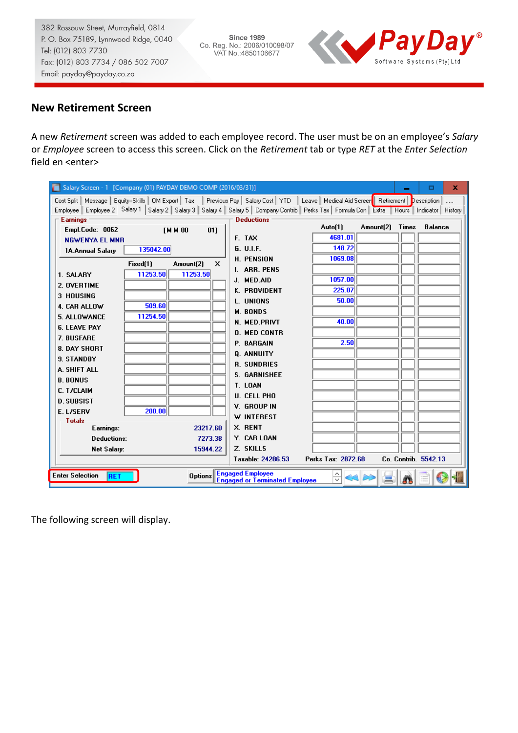**Since 1989** Co. Reg. No.: 2006/010098/07<br>VAT No.:4850106677



# **New Retirement Screen**

A new *Retirement* screen was added to each employee record. The user must be on an employee's *Salary* or *Employee* screen to access this screen. Click on the *Retirement* tab or type *RET* at the *Enter Selection* field en <enter>

| Salary Screen - 1 [Company (01) PAYDAY DEMO COMP (2016/03/31)] |           |                |                                                                                                                                                                                                                                                                                                                            |                    |           |              | x<br>□                         |
|----------------------------------------------------------------|-----------|----------------|----------------------------------------------------------------------------------------------------------------------------------------------------------------------------------------------------------------------------------------------------------------------------------------------------------------------------|--------------------|-----------|--------------|--------------------------------|
| <b>Earnings</b>                                                |           |                | Cost Split   Message   Equity+Skills   OM Export   Tax   Previous Pay   Salary Cost   YTD   Leave   Medical Aid Screen   Retirement  <br>Employee   Employee 2 Salary 1   Salary 2   Salary 3   Salary 4   Salary 5   Company Contrib   Perks Tax   Formula Con   Extra   Hours   Indicator   History<br><b>Deductions</b> |                    |           |              | <b>Description</b><br>$\cdots$ |
| Empl.Code: 0062                                                |           | [M M 00<br>011 |                                                                                                                                                                                                                                                                                                                            | Auto[1]            | Amount(2) | <b>Times</b> | <b>Balance</b>                 |
| <b>NGWENYA EL MNR</b>                                          |           |                | F. TAX                                                                                                                                                                                                                                                                                                                     | 4681.01            |           |              |                                |
| 1A.Annual Salary                                               | 135042.00 |                | G. U.L.F.                                                                                                                                                                                                                                                                                                                  | 148.72             |           |              |                                |
|                                                                |           |                | <b>H. PENSION</b>                                                                                                                                                                                                                                                                                                          | 1069.08            |           |              |                                |
|                                                                | Fixed[1]  | x<br>Amount(2) | I. ARR. PENS                                                                                                                                                                                                                                                                                                               |                    |           |              |                                |
| 1. SALARY                                                      | 11253.50  | 11253.50       | J. MED.AID                                                                                                                                                                                                                                                                                                                 | 1057.00            |           |              |                                |
| 2. OVERTIME                                                    |           |                | K. PROVIDENT                                                                                                                                                                                                                                                                                                               | 225.07             |           |              |                                |
| <b>3 HOUSING</b>                                               |           |                | L. UNIONS                                                                                                                                                                                                                                                                                                                  | 50.00              |           |              |                                |
| 4. CAR ALLOW                                                   | 509.60    |                | <b>M. BONDS</b>                                                                                                                                                                                                                                                                                                            |                    |           |              |                                |
| 5. ALLOWANCE                                                   | 11254.50  |                | N. MED.PRIVT                                                                                                                                                                                                                                                                                                               | 40.00              |           |              |                                |
| <b>6. LEAVE PAY</b>                                            |           |                | <b>O. MED CONTR</b>                                                                                                                                                                                                                                                                                                        |                    |           |              |                                |
| 7. BUSFARE                                                     |           |                | <b>P. BARGAIN</b>                                                                                                                                                                                                                                                                                                          | 2.50               |           |              |                                |
| 8. DAY SHORT                                                   |           |                | Q. ANNUITY                                                                                                                                                                                                                                                                                                                 |                    |           |              |                                |
| <b>9. STANDRY</b>                                              |           |                | <b>R. SUNDRIES</b>                                                                                                                                                                                                                                                                                                         |                    |           |              |                                |
| A. SHIFT ALL                                                   |           |                | <b>S. GARNISHEE</b>                                                                                                                                                                                                                                                                                                        |                    |           |              |                                |
| <b>B. BONUS</b>                                                |           |                | T. LOAN                                                                                                                                                                                                                                                                                                                    |                    |           |              |                                |
| <b>C. T/CLAIM</b>                                              |           |                | <b>U. CELL PHO</b>                                                                                                                                                                                                                                                                                                         |                    |           |              |                                |
| <b>D. SUBSIST</b>                                              |           |                | V. GROUP IN                                                                                                                                                                                                                                                                                                                |                    |           |              |                                |
| E. L/SERV                                                      | 200.00    |                | W INTEREST                                                                                                                                                                                                                                                                                                                 |                    |           |              |                                |
| <b>Totals</b>                                                  |           |                | X. RENT                                                                                                                                                                                                                                                                                                                    |                    |           |              |                                |
| Earnings:                                                      |           | 23217.60       |                                                                                                                                                                                                                                                                                                                            |                    |           |              |                                |
| <b>Deductions:</b>                                             |           | 7273.38        | Y. CAR LOAN                                                                                                                                                                                                                                                                                                                |                    |           |              |                                |
| <b>Net Salary:</b>                                             |           | 15944.22       | Z. SKILLS                                                                                                                                                                                                                                                                                                                  |                    |           |              |                                |
|                                                                |           |                | Taxable: 24286.53                                                                                                                                                                                                                                                                                                          | Perks Tax: 2872.68 |           |              | Co. Contrib. 5542.13           |
| <b>Enter Selection</b><br><b>RET</b>                           |           | <b>Options</b> | <b>Engaged Employee</b><br><b>Engaged or Terminated Employee</b>                                                                                                                                                                                                                                                           | ₩                  |           |              |                                |

The following screen will display.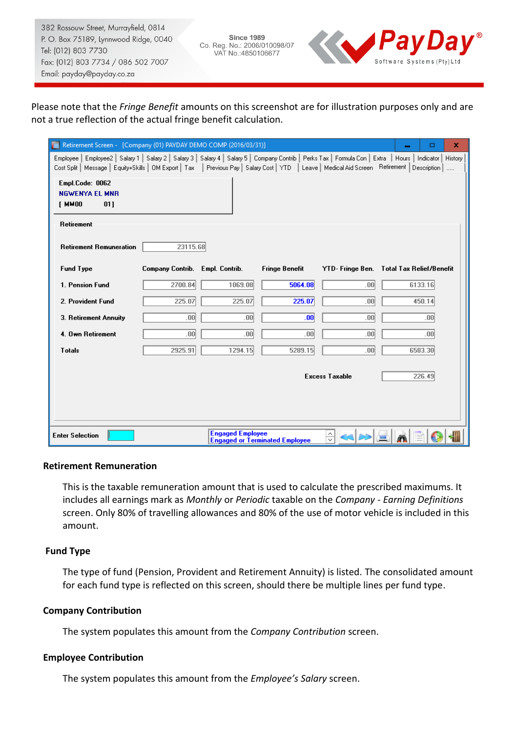**Since 1989** Co. Reg. No.: 2006/010098/07 VAT No.: 4850106677



## Please note that the *Fringe Benefit* amounts on this screenshot are for illustration purposes only and are not a true reflection of the actual fringe benefit calculation.

| Retirement Screen - [Company (01) PAYDAY DEMO COMP (2016/03/31)]<br>x<br>о                                                                                                                                                                                                                                 |                                 |                  |                       |                       |                                          |  |  |  |
|------------------------------------------------------------------------------------------------------------------------------------------------------------------------------------------------------------------------------------------------------------------------------------------------------------|---------------------------------|------------------|-----------------------|-----------------------|------------------------------------------|--|--|--|
| Employee   Employee2   Salary 1   Salary 2   Salary 3   Salary 4   Salary 5   Company Contrib   Perks Tax   Formula Con   Extra   Hours   Indicator  <br>Cost Split   Message   Equity+Skills   OM Export   Tax   Previous Pay   Salary Cost   YTD   Leave   Medical Aid Screen   Retirement   Description |                                 |                  |                       |                       | History<br>1.1.1.1                       |  |  |  |
| Empl.Code: 0062<br><b>NGWENYA EL MNR</b><br>[ MM00<br>011                                                                                                                                                                                                                                                  |                                 |                  |                       |                       |                                          |  |  |  |
| Retirement                                                                                                                                                                                                                                                                                                 |                                 |                  |                       |                       |                                          |  |  |  |
| <b>Retirement Remuneration</b>                                                                                                                                                                                                                                                                             | 23115.68                        |                  |                       |                       |                                          |  |  |  |
| <b>Fund Type</b>                                                                                                                                                                                                                                                                                           | Company Contrib. Empl. Contrib. |                  | <b>Fringe Benefit</b> |                       | YTD-Fringe Ben. Total Tax Relief/Benefit |  |  |  |
| 1. Pension Fund                                                                                                                                                                                                                                                                                            | 2700.84                         | 1069.08          | 5064.08               | .00                   | 6133.16                                  |  |  |  |
| 2. Provident Fund                                                                                                                                                                                                                                                                                          | 225.07                          | 225.07           | 225.07                | .00                   | 450.14                                   |  |  |  |
| 3. Retirement Annuity                                                                                                                                                                                                                                                                                      | .00 <sub>1</sub>                | .00              | .00 <sub>1</sub>      | .00                   | .00                                      |  |  |  |
| 4. Own Retirement                                                                                                                                                                                                                                                                                          | .00 <sub>1</sub>                | .00 <sub>1</sub> | .00 <sub>1</sub>      | .00                   | .00 <sub>1</sub>                         |  |  |  |
| <b>Totals</b>                                                                                                                                                                                                                                                                                              | 2925.91                         | 1294.15          | 5289.15               | .00                   | 6583.30                                  |  |  |  |
|                                                                                                                                                                                                                                                                                                            |                                 |                  |                       | <b>Excess Taxable</b> | 226.49                                   |  |  |  |
| <b>Engaged Employee</b><br>$\frac{\wedge}{\vee}$<br><b>Enter Selection</b><br><b>Engaged or Terminated Employee</b>                                                                                                                                                                                        |                                 |                  |                       |                       |                                          |  |  |  |

#### **Retirement Remuneration**

This is the taxable remuneration amount that is used to calculate the prescribed maximums. It includes all earnings mark as *Monthly* or *Periodic* taxable on the *Company - Earning Definitions* screen. Only 80% of travelling allowances and 80% of the use of motor vehicle is included in this amount.

### **Fund Type**

The type of fund (Pension, Provident and Retirement Annuity) is listed. The consolidated amount for each fund type is reflected on this screen, should there be multiple lines per fund type.

#### **Company Contribution**

The system populates this amount from the *Company Contribution* screen.

### **Employee Contribution**

The system populates this amount from the *Employee's Salary* screen.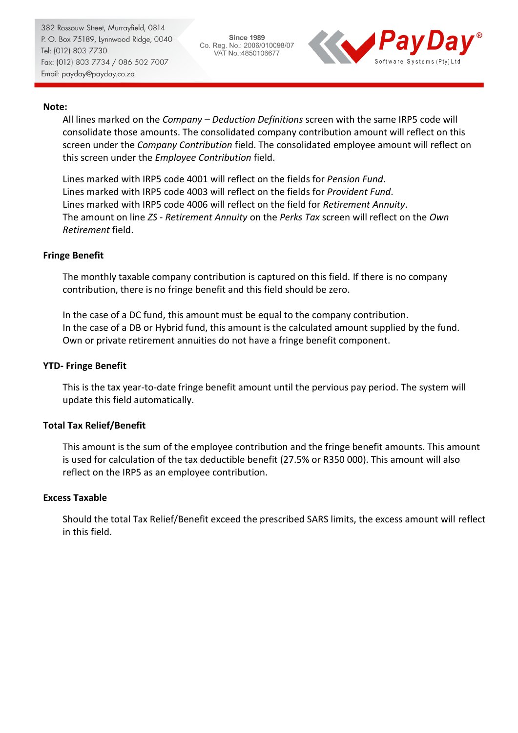**Since 1989** Co. Reg. No.: 2006/010098/07 VAT No.: 4850106677



### **Note:**

All lines marked on the *Company – Deduction Definitions* screen with the same IRP5 code will consolidate those amounts. The consolidated company contribution amount will reflect on this screen under the *Company Contribution* field. The consolidated employee amount will reflect on this screen under the *Employee Contribution* field.

Lines marked with IRP5 code 4001 will reflect on the fields for *Pension Fund*. Lines marked with IRP5 code 4003 will reflect on the fields for *Provident Fund*. Lines marked with IRP5 code 4006 will reflect on the field for *Retirement Annuity*. The amount on line *ZS - Retirement Annuity* on the *Perks Tax* screen will reflect on the *Own Retirement* field.

### **Fringe Benefit**

The monthly taxable company contribution is captured on this field. If there is no company contribution, there is no fringe benefit and this field should be zero.

In the case of a DC fund, this amount must be equal to the company contribution. In the case of a DB or Hybrid fund, this amount is the calculated amount supplied by the fund. Own or private retirement annuities do not have a fringe benefit component.

### **YTD- Fringe Benefit**

This is the tax year-to-date fringe benefit amount until the pervious pay period. The system will update this field automatically.

#### **Total Tax Relief/Benefit**

This amount is the sum of the employee contribution and the fringe benefit amounts. This amount is used for calculation of the tax deductible benefit (27.5% or R350 000). This amount will also reflect on the IRP5 as an employee contribution.

#### **Excess Taxable**

Should the total Tax Relief/Benefit exceed the prescribed SARS limits, the excess amount will reflect in this field.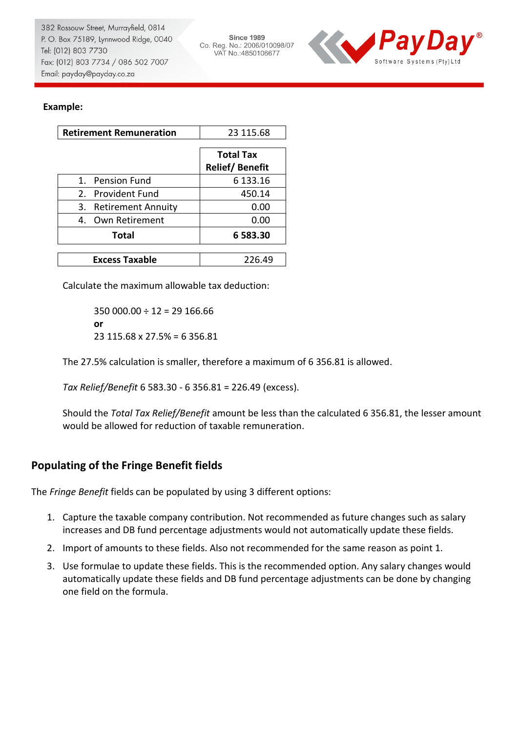**Since 1989** Co. Reg. No.: 2006/010098/07 VAT No.: 4850106677



### **Example:**

| <b>Retirement Remuneration</b>  | 23 115.68                                 |
|---------------------------------|-------------------------------------------|
|                                 | <b>Total Tax</b><br><b>Relief/Benefit</b> |
| 1. Pension Fund                 | 6 133.16                                  |
| 2. Provident Fund               | 450.14                                    |
| <b>Retirement Annuity</b><br>3. | 0.00                                      |
| 4. Own Retirement               | 0.00                                      |
| <b>Total</b>                    | 6583.30                                   |
| <b>Excess Taxable</b>           | 226.49                                    |

Calculate the maximum allowable tax deduction:

 $350000.00 \div 12 = 29166.66$ **or** 23 115.68 x 27.5% = 6 356.81

The 27.5% calculation is smaller, therefore a maximum of 6 356.81 is allowed.

*Tax Relief/Benefit* 6 583.30 - 6 356.81 = 226.49 (excess).

Should the *Total Tax Relief/Benefit* amount be less than the calculated 6 356.81, the lesser amount would be allowed for reduction of taxable remuneration.

## **Populating of the Fringe Benefit fields**

The *Fringe Benefit* fields can be populated by using 3 different options:

- 1. Capture the taxable company contribution. Not recommended as future changes such as salary increases and DB fund percentage adjustments would not automatically update these fields.
- 2. Import of amounts to these fields. Also not recommended for the same reason as point 1.
- 3. Use formulae to update these fields. This is the recommended option. Any salary changes would automatically update these fields and DB fund percentage adjustments can be done by changing one field on the formula.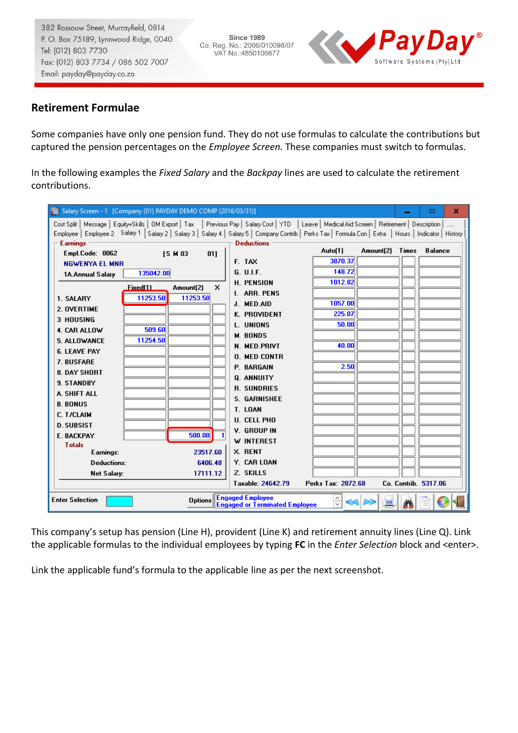**Since 1989** Co. Reg. No.: 2006/010098/07 VAT No.: 4850106677



## **Retirement Formulae**

Some companies have only one pension fund. They do not use formulas to calculate the contributions but captured the pension percentages on the *Employee Screen.* These companies must switch to formulas.

In the following examples the *Fixed Salary* and the *Backpay* lines are used to calculate the retirement contributions.

| Salary Screen - 1 [Company (01) PAYDAY DEMO COMP (2016/03/31)]                                                                                                 |     |                                                                   |                    |                 | о                           | x |
|----------------------------------------------------------------------------------------------------------------------------------------------------------------|-----|-------------------------------------------------------------------|--------------------|-----------------|-----------------------------|---|
| Cost Split   Message   Equity+Skills   OM Export   Tax   Previous Pay   Salary Cost   YTD   Leave   Medical Aid Screen   Retirement   Description              |     |                                                                   |                    |                 |                             |   |
| Employee   Employee 2   Salary 1   Salary 2   Salary 3   Salary 4   Salary 5   Company Contrib   Perks Tax   Formula Con   Extra   Hours   Indicator   History |     |                                                                   |                    |                 |                             |   |
| <b>Earnings</b>                                                                                                                                                |     | <b>Deductions</b>                                                 |                    |                 |                             |   |
| Empl.Code: 0062<br><b>ISM03</b>                                                                                                                                | 011 |                                                                   | Auto(1)            | Amount(2) Times | <b>Balance</b>              |   |
| <b>NGWENYA EL MNR</b>                                                                                                                                          |     | F. TAX                                                            | 3870.37            |                 |                             |   |
| 135042.00<br>1A.Annual Salary                                                                                                                                  |     | G. U.L.F.                                                         | 148.72             |                 |                             |   |
| Fixed(1)<br>Amount(2)                                                                                                                                          | x   | <b>H. PENSION</b>                                                 | 1012.82            |                 |                             |   |
| 11253.50<br>11253.50<br>1. SALARY                                                                                                                              |     | <b>I. ARR. PENS</b>                                               |                    |                 |                             |   |
| 2. OVERTIME                                                                                                                                                    |     | J. MED.AID                                                        | 1057.00            |                 |                             |   |
| <b>3 HOUSING</b>                                                                                                                                               |     | K. PROVIDENT                                                      | 225.07             |                 |                             |   |
| 509.60<br>4. CAR ALLOW                                                                                                                                         |     | L. UNIONS                                                         | 50.00              |                 |                             |   |
| 11254.50<br>5. ALLOWANCE                                                                                                                                       |     | <b>M. BONDS</b>                                                   |                    |                 |                             |   |
| <b>6. LEAVE PAY</b>                                                                                                                                            |     | <b>N. MED.PRIVT</b>                                               | 40.00              |                 |                             |   |
| 7. BUSFARE                                                                                                                                                     |     | <b>O. MED CONTR</b>                                               |                    |                 |                             |   |
| 8. DAY SHORT                                                                                                                                                   |     | <b>P. BARGAIN</b>                                                 | 2.50               |                 |                             |   |
| 9. STANDBY                                                                                                                                                     |     | Q. ANNUITY                                                        |                    |                 |                             |   |
| A. SHIFT ALL                                                                                                                                                   |     | <b>R. SUNDRIES</b>                                                |                    |                 |                             |   |
| <b>B. BONUS</b>                                                                                                                                                |     | <b>S. GARNISHEE</b>                                               |                    |                 |                             |   |
| <b>C. T/CLAIM</b>                                                                                                                                              |     | T. LOAN                                                           |                    |                 |                             |   |
| <b>D. SUBSIST</b>                                                                                                                                              |     | <b>U. CELL PHO</b>                                                |                    |                 |                             |   |
| 500.00<br>E. BACKPAY                                                                                                                                           |     | V. GROUP IN                                                       |                    |                 |                             |   |
| <b>Totals</b>                                                                                                                                                  |     | W INTEREST                                                        |                    |                 |                             |   |
| 23517.60<br>Earnings:                                                                                                                                          |     | X. RENT                                                           |                    |                 |                             |   |
| 6406.48<br>Deductions:                                                                                                                                         |     | Y. CAR LOAN                                                       |                    |                 |                             |   |
| 17111.12<br><b>Net Salarv:</b>                                                                                                                                 |     | Z. SKILLS                                                         |                    |                 |                             |   |
|                                                                                                                                                                |     | Taxable: 24642.79                                                 | Perks Tax: 2872.68 |                 | <b>Co. Contrib. 5317.06</b> |   |
| <b>Enter Selection</b>                                                                                                                                         |     | Options Engaged Employee<br><b>Engaged or Terminated Employee</b> | $\overline{\vee}$  |                 |                             |   |

This company's setup has pension (Line H), provident (Line K) and retirement annuity lines (Line Q). Link the applicable formulas to the individual employees by typing **FC** in the *Enter Selection* block and <enter>.

Link the applicable fund's formula to the applicable line as per the next screenshot.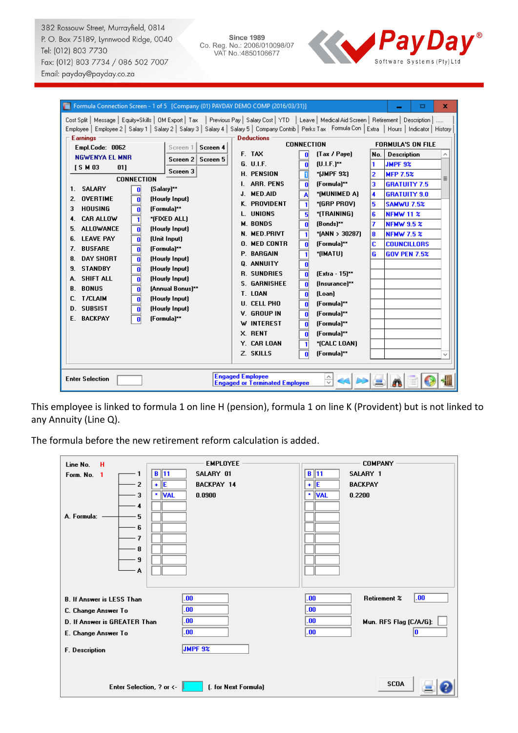**Since 1989** Since 1989<br>Co. Reg. No.: 2006/010098/07<br>VAT No.:4850106677



| Formula Connection Screen - 1 of 5 [Company (01) PAYDAY DEMO COMP (2016/03/31)]<br>□<br>x                                                                                                                                                                                                                                                                                                                                                                                                                                                                                                                                                                                                                                                                                                                                                                                                                                                                                                                                     |                                                                                                                                                                                                                                                                                                       |                                                                                                                                                                                                                                                                                                                                                                  |                                                                                                                                                                                                                                                                                                                                                                                                                                                                                                                                                                                                                                                                                                               |                                                                                                                                                                                                                                                                                                                                                                           |  |  |  |
|-------------------------------------------------------------------------------------------------------------------------------------------------------------------------------------------------------------------------------------------------------------------------------------------------------------------------------------------------------------------------------------------------------------------------------------------------------------------------------------------------------------------------------------------------------------------------------------------------------------------------------------------------------------------------------------------------------------------------------------------------------------------------------------------------------------------------------------------------------------------------------------------------------------------------------------------------------------------------------------------------------------------------------|-------------------------------------------------------------------------------------------------------------------------------------------------------------------------------------------------------------------------------------------------------------------------------------------------------|------------------------------------------------------------------------------------------------------------------------------------------------------------------------------------------------------------------------------------------------------------------------------------------------------------------------------------------------------------------|---------------------------------------------------------------------------------------------------------------------------------------------------------------------------------------------------------------------------------------------------------------------------------------------------------------------------------------------------------------------------------------------------------------------------------------------------------------------------------------------------------------------------------------------------------------------------------------------------------------------------------------------------------------------------------------------------------------|---------------------------------------------------------------------------------------------------------------------------------------------------------------------------------------------------------------------------------------------------------------------------------------------------------------------------------------------------------------------------|--|--|--|
| Cost Split   Message   Equity+Skills   OM Export   Tax   Previous Pay   Salary Cost   YTD   Leave   Medical Aid Screen   Retirement   Description  <br>Employee   Employee 2   Salary 1   Salary 2   Salary 3   Salary 4   Salary 5   Company Contrib   Perks Tax Formula Con   Extra   Hours   Indicator   History<br><b>Earnings</b><br>Empl.Code: 0062<br><b>NGWENYA EL MNR</b><br><b>ISM03</b><br>01]<br><b>CONNECTION</b><br>1. SALARY<br>0<br><b>OVERTIME</b><br>2.<br>$\mathbf{0}$<br><b>HOUSING</b><br>3<br>$\mathbf{0}$<br><b>CAR ALLOW</b><br>$\overline{\mathbf{1}}$<br>4.<br><b>ALLOWANCE</b><br>$\overline{0}$<br>5.<br>$\overline{\mathbf{0}}$<br><b>LEAVE PAY</b><br>6.<br>$\overline{\mathbf{0}}$<br><b>BUSFARE</b><br>7.<br><b>DAY SHORT</b><br>$\bf{0}$<br>8.<br><b>STANDBY</b><br>$\overline{0}$<br>9.<br><b>SHIFT ALL</b><br>$\overline{\mathbf{0}}$<br>А.<br><b>BONUS</b><br>$\overline{0}$<br>В.<br><b>T/CLAIM</b><br>$\mathbf{0}$<br>C.<br><b>D. SUBSIST</b><br>$\bf{0}$<br>E. BACKPAY<br>$\mathbf{0}$ | Screen 4<br>Screen 1<br>Screen 2<br>Screen 5<br>Screen 3<br>[Salary]**<br>(Hourly Input)<br>(Formula)**<br>*[FIXED ALL]<br>(Hourly Input)<br>(Unit Input)<br>(Formula)**<br>(Hourly Input)<br>(Hourly Input)<br>(Hourly Input)<br>[Annual Bonus]**<br>(Hourly Input)<br>(Hourly Input)<br>(Formula)** | <b>Deductions</b><br>F. TAX<br>G. U.I.F.<br><b>H. PENSION</b><br>I. ARR. PENS<br>J. MED.AID<br>K. PROVIDENT<br>L. UNIONS<br><b>M. BONDS</b><br>N. MED.PRIVT<br><b>O. MED CONTR</b><br>P. BARGAIN<br>Q. ANNUITY<br><b>R. SUNDRIES</b><br><b>S. GARNISHEE</b><br>T. LOAN<br><b>U. CELL PHO</b><br>V. GROUP IN<br>W INTEREST<br>X. RENT<br>Y. CAR LOAN<br>Z. SKILLS | <b>CONNECTION</b><br>[Tax / Paye]<br>$\mathbf{0}$<br>$[U.I.F.]^{**}$<br>$\bf{0}$<br>$\overline{1}$<br>$*$ [JMPF 9%]<br>$\overline{\mathbf{0}}$<br>[Formula]**<br>*(MUNIMED A)<br>A<br>$\overline{1}$<br>*(GRP PROV)<br>5<br>*(TRAINING)<br>$[Bonds]^{**}$<br>$\mathbf{0}$<br>$\overline{\mathbf{1}}$<br>$*$ [ANN > 30287]<br>[Formula]**<br>$\mathbf{0}$<br>$\overline{\mathbf{1}}$<br>*[IMATU]<br>$\mathbf{0}$<br>$\overline{\mathbf{0}}$<br>[Extra - 15]**<br>[Insurance]**<br>$\mathbf{0}$<br>(Loan)<br>$\bf{0}$<br>[Formula]**<br>$\mathbf{0}$<br>[Formula]**<br>$\mathbf{0}$<br>[Formula]**<br>$\mathbf 0$<br>[Formula]**<br>$\mathbf{0}$<br>*[CALC LOAN]<br>$\mathbf{1}$<br>[Formula]**<br>$\mathbf{0}$ | <b>FORMULA'S ON FILE</b><br><b>Description</b><br>No.<br>$\wedge$<br><b>JMPF 9%</b><br>1.<br>$\overline{2}$<br><b>MFP 7.5%</b><br>Ξ<br>3<br><b>GRATUITY 7.5</b><br><b>GRATUITY 9.0</b><br>4<br><b>SAMWU 7.5%</b><br>5<br><b>NFMW 11 %</b><br>6<br>7<br><b>NFMW 9.5 %</b><br><b>NFMW 7.5 %</b><br>8<br>c<br><b>COUNCILLORS</b><br><b>GOV PEN 7.5%</b><br>G<br>$\checkmark$ |  |  |  |
| <b>Engaged Employee</b><br>$\frac{\wedge}{\vee}$<br><b>Enter Selection</b><br><b>Engaged or Terminated Employee</b>                                                                                                                                                                                                                                                                                                                                                                                                                                                                                                                                                                                                                                                                                                                                                                                                                                                                                                           |                                                                                                                                                                                                                                                                                                       |                                                                                                                                                                                                                                                                                                                                                                  |                                                                                                                                                                                                                                                                                                                                                                                                                                                                                                                                                                                                                                                                                                               |                                                                                                                                                                                                                                                                                                                                                                           |  |  |  |

This employee is linked to formula 1 on line H (pension), formula 1 on line K (Provident) but is not linked to any Annuity (Line Q).

The formula before the new retirement reform calculation is added.

| Line No.<br>н<br>1<br>Form. No. 1<br>$\overline{2}$<br>3<br>4<br>A. Formula:<br>5<br>6<br>7<br>8<br>9<br>۰A                             | <b>EMPLOYEE</b><br>$B$ 11<br>SALARY 01<br>lle<br><b>BACKPAY 14</b><br>٠<br>* VAL<br>0.0900 | <b>COMPANY</b><br>$B$ 11<br>SALARY 1<br>lE<br><b>BACKPAY</b><br>÷<br>* VAL<br>0.2200             |
|-----------------------------------------------------------------------------------------------------------------------------------------|--------------------------------------------------------------------------------------------|--------------------------------------------------------------------------------------------------|
| <b>B. If Answer is LESS Than</b><br>C. Change Answer To<br>D. If Answer is GREATER Than<br>E. Change Answer To<br><b>F.</b> Description | .00<br>.00<br>.00<br>00<br><b>JMPF 9%</b>                                                  | .00.<br><b>Retirement %</b><br>.00.<br>.00<br>$\bf{.00}$<br>Mun. RFS Flag (C/A/G):<br>.00.<br>10 |
| Enter Selection, ? or $\leftarrow$                                                                                                      | (. for Next Formula)                                                                       | <b>SCOA</b>                                                                                      |